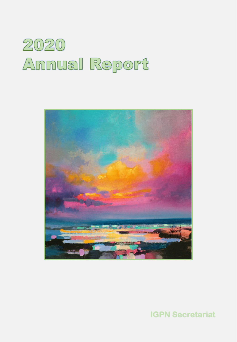



**IGPN Secretariat**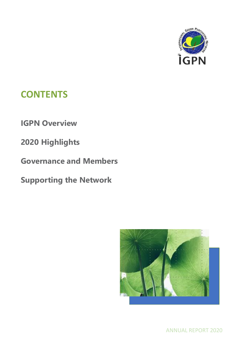

# **CONTENTS**

**IGPN Overview**

**2020 Highlights**

**Governance and Members** 

**Supporting the Network**



ANNUAL REPORT 2020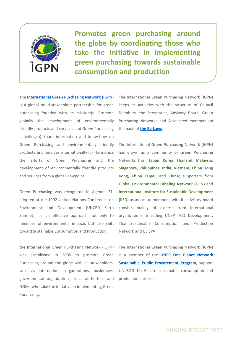

**Promotes green purchasing around the globe by coordinating those who take the initiative in implementing green purchasing towards sustainable consumption and production**

The **[International](http://www.igpn.org/) Green Purchasing Network (IGPN**) is a global multi-stakeholder partnership for green purchasing founded with its mission:(a) Promote globally the development of environmentally friendly products and services and Green Purchasing activities;(b) Share information and know-how on Green Purchasing and environmentally friendly products and services internationally;(c) Harmonize the efforts of Green Purchasing and the development of environmentally friendly products and services from a global viewpoint.

Green Purchasing was recognized in Agenda 21, adopted at the 1992 United Nations Conference on Environment and Development (UNCED Earth Summit), as an effective approach not only to minimize of environmental impacts but also shift toward Sustainable Consumption and Production.

the International Green Purchasing Network (IGPN) was established in 2005 to promote Green Purchasing around the globe with all stakeholders, such as international organizations, businesses, governmental organizations, local authorities and NGOs, who take the initiative in implementing Green Purchasing.

The International Green Purchasing Network (IGPN) keeps its activities with the structure of Council Members, the Secretariat, Advisory Board, Green Purchasing Networks and Associated members on the basis of **the [By-Laws](http://www.igpn.org/news/2020/07/circular_of_igpn_bylaws_for_tr_1.html)**.

The International Green Purchasing Network (IGPN) has grown as a community of Green Purchasing Networks from **Japan, Korea, Thailand, Malaysia, Singapore, Philippines, India, Vietnam, China Hong Kong, China Taipei,** and **China**; supporters from **Global Environmental Labeling Network (GEN)** and **International Institute for Sustainable Development (IISD)** as associate members, with its advisory board consists mainly of experts from international organizations, including UNEP, TCO Development, Thai Sustainable Consumption and Production Network and US EPA.

The International Green Purchasing Network (IGPN) is a member of the **UNEP One Planet Network Sustainable Public [Procurement](http://www.oneplanetnetwork.org/) Program**, support UN SDG 12: Ensure sustainable consumption and production patterns.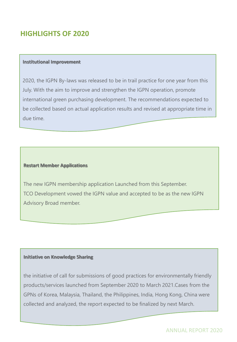## **HIGHLIGHTS OF 2020**

#### **Institutional Improvement**

2020, the IGPN By-laws was released to be in trail practice for one year from this July. With the aim to improve and strengthen the IGPN operation, promote international green purchasing development. The recommendations expected to be collected based on actual application results and revised at appropriate time in due time.

#### **Restart Member Applications**

The new IGPN membership application Launched from this September. TCO Development vowed the IGPN value and accepted to be as the new IGPN Advisory Broad member.

#### **Initiative on Knowledge Sharing**

the initiative of call for submissions of good practices for environmentally friendly products/services launched from September 2020 to March 2021.Cases from the GPNs of Korea, Malaysia, Thailand, the Philippines, India, Hong Kong, China were collected and analyzed, the report expected to be finalized by next March.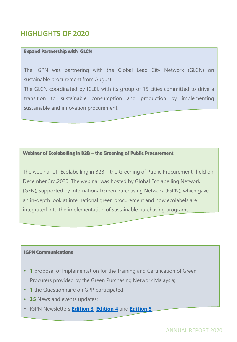## **HIGHLIGHTS OF 2020**

#### **Expand Partnership with GLCN**

The IGPN was partnering with the Global Lead City Network (GLCN) on sustainable procurement from August.

The GLCN coordinated by ICLEI, with its group of 15 cities committed to drive a transition to sustainable consumption and production by implementing sustainable and innovation procurement.

#### **Webinar of Ecolabelling in B2B – the Greening of Public Procurement**

The webinar of "Ecolabelling in B2B – the Greening of Public Procurement" held on December 3rd,2020. The webinar was hosted by Global Ecolabelling Network (GEN), supported by International Green Purchasing Network (IGPN), which gave an in-depth look at international green procurement and how ecolabels are integrated into the implementation of sustainable purchasing programs..

#### **IGPN Communications**

- **1** proposal of Implementation for the Training and Certification of Green Procurers provided by the Green Purchasing Network Malaysia;
- **1** the Questionnaire on GPP participated;
- **35** News and events updates;
- IGPN Newsletters **[Edition 3](http://www.igpn.org/news/2020/06/igpn_newsletter_edition_3.html)**, **[Edition 4](http://www.igpn.org/news/2020/10/igpn_newsletter_edition_4.html)** and **[Edition 5](http://www.igpn.org/news/2020/12/download_file.html)**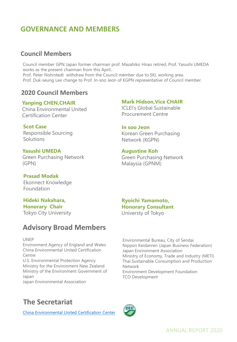## **GOVERNANCE AND MEMBERS**

### **Council Members**

Council member GPN Japan former chairman prof. Masahiko Hirao retired, Prof. Yasushi UMEDA works as the present chairman from this April.. Prof. Peter Nohrstedt withdraw from the Council member due to SKL working area. Prof. Duk-seung Lee change to Prof. In-soo Jeon of KGPN representative of Council member.

### **2020 Council Members**

#### **Yanping CHEN,CHAIR**

China Environmental United Certification Center

**Scot Case** Responsible Sourcing **Solutions** 

**Yasushi UMEDA** Green Purchasing Network (GPN)

#### **Mark Hidson,Vice CHAIR**

ICLEI's Global Sustainable Procurement Centre

#### **In soo Jeon**

Korean Green Purchasing Network (KGPN)

#### **Augustine Koh**

Green Purchasing Network Malaysia (GPNM)

#### **Prasad Modak**

Ekonnect Knowledge Foundation

### **Hideki Nakahara, Honorary Chair**

Tokyo City University

### **Advisory Broad Members**

#### UNEP

Environment Agency of England and Wales China Environmental United Certification Centre

U.S. Environmental Protection Agency Ministry for the Environment New Zealand Ministry of the Environment Government of Japan

Japan Environmental Association

### **Ryoichi Yamamoto, Honorary Consultant** Universty of Tokyo

Environmental Bureau, City of Sendai Nippon Keidanren (Japan Business Federation) Japan Environment Association Ministry of Economy, Trade and Industry (METI) Thai Sustainable Consumption and Production Network Environment Development Foundation TCO Development

## **The Secretariat**

[China Environmental United Certification Center](http://www.mepcec.com/)

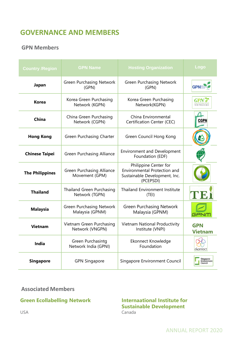## **GOVERNANCE AND MEMBERS**

### **GPN Members**

| <b>Country /Region</b> | <b>GPN Name</b>                                    | <b>Hosting Organization</b>                                                                         | Logo                                |
|------------------------|----------------------------------------------------|-----------------------------------------------------------------------------------------------------|-------------------------------------|
| Japan                  | <b>Green Purchasing Network</b><br>(GPN)           | <b>Green Purchasing Network</b><br>(GPN)                                                            |                                     |
| <b>Korea</b>           | Korea Green Purchasing<br>Network (KGPN)           | Korea Green Purchasing<br>Network(KGPN)                                                             | 녹색구매네트워!                            |
| China                  | China Green Purchasing<br>Network (CGPN)           | China Environmental<br>Certification Center (CEC)                                                   | CGPN                                |
| <b>Hong Kong</b>       | Green Purchasing Charter                           | Green Council Hong Kong                                                                             |                                     |
| <b>Chinese Taipei</b>  | Green Purchasing Alliance                          | <b>Environment and Development</b><br>Foundation (EDF)                                              |                                     |
| <b>The Philippines</b> | Green Purchasing Alliance<br>Movement (GPM)        | Philippine Center for<br>Environmental Protection and<br>Sustainable Development, Inc.<br>(PCEPSDI) |                                     |
| <b>Thailand</b>        | Thailand Green Purchasing<br>Network (TGPN)        | <b>Thailand Environment Institute</b><br>(TEI)                                                      | TVE.                                |
| <b>Malaysia</b>        | <b>Green Purchasing Network</b><br>Malaysia (GPNM) | <b>Green Purchasing Network</b><br>Malaysia (GPNM)                                                  | GANW                                |
| <b>Vietnam</b>         | Vietnam Green Purchasing<br>Network (VNGPN)        | Vietnam National Productivity<br>Institute (VNPI)                                                   | <b>GPN</b><br><b>Vietnam</b>        |
| <b>India</b>           | Green Purchasintg<br>Network India (GPNI)          | Ekonnect Knowledge<br>Foundation                                                                    | ekonnect                            |
| <b>Singapore</b>       | <b>GPN Singapore</b>                               | Singapore Environment Council                                                                       | Singapore<br>Environment<br>Council |

### **Associated Members**

### **Green Ecollabelling Network**

#### **Internaational Institute for Sustainable Development** Canada

USA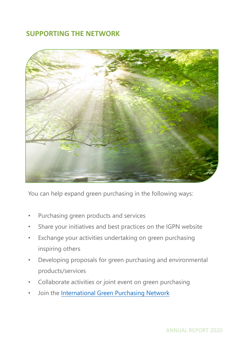## **SUPPORTING THE NETWORK**



You can help expand green purchasing in the following ways:

- Purchasing green products and services
- Share your initiatives and best practices on the IGPN website
- Exchange your activities undertaking on green purchasing inspiring others
- Developing proposals for green purchasing and environmental products/services
- Collaborate activities or joint event on green purchasing
- Join the [International Green Purchasing Network](http://www.igpn.org/news/2020/09/call_for_interest_to_join_the.html)